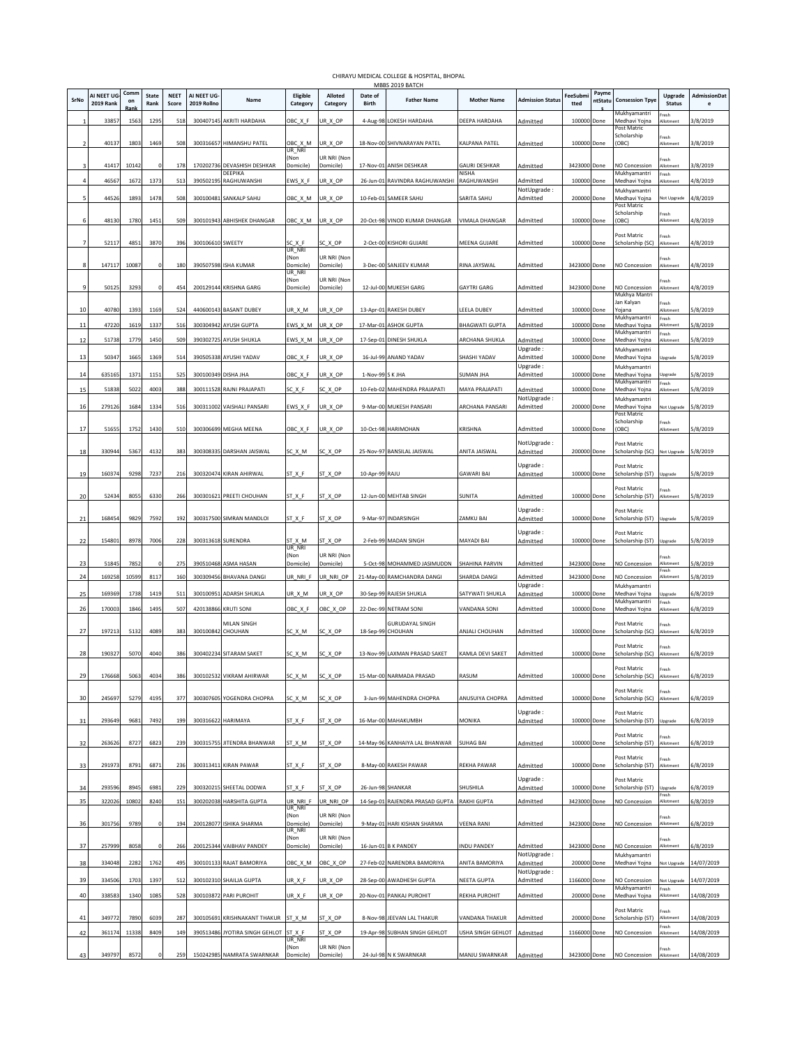|          |                                 |            |                      |                      |                           |                                      |                      |                          |                  | MBBS 2019 BATCH                             |                        |                          |                  |                  |                                      |                          |                   |
|----------|---------------------------------|------------|----------------------|----------------------|---------------------------|--------------------------------------|----------------------|--------------------------|------------------|---------------------------------------------|------------------------|--------------------------|------------------|------------------|--------------------------------------|--------------------------|-------------------|
| SrNo     | AI NEET UG-<br><b>2019 Rank</b> | Comm<br>on | <b>State</b><br>Rank | <b>NEET</b><br>Score | AI NEET UG<br>2019 Rollno | Name                                 | Eligible<br>Category | Alloted<br>Category      | Date of<br>Birth | <b>Father Name</b>                          | <b>Mother Name</b>     | <b>Admission Statu:</b>  | FeeSubmi<br>tted | Payme<br>ntStatu | <b>Consession Tpye</b>               | Upgrade<br><b>Status</b> | AdmissionDat<br>e |
|          |                                 |            |                      |                      |                           |                                      |                      |                          |                  |                                             |                        |                          |                  |                  | Mukhyamantri                         | resh                     |                   |
|          | 3385                            | 1563       | 1295                 | 518                  | 300407145                 | AKRITI HARDAHA                       | OBC_X_F              | UR_X_OP                  | 4-Aug-98         | LOKESH HARDAHA                              | DEEPA HARDAHA          | Admitted                 | 100000           | Done             | Medhavi Yojna<br>Post Matric         | Vlotment                 | 3/8/2019          |
|          | 40137                           | 1803       | 1469                 | 508                  | 300316657                 | HIMANSHU PATEL                       | OBC_X_M              | UR_X_OP                  |                  | 18-Nov-00 SHIVNARAYAN PATEL                 | KALPANA PATEL          | Admitted                 | 100000 Done      |                  | Scholarship<br>(OBC)                 | Fresh<br>Allotment       | 3/8/2019          |
|          |                                 |            |                      |                      |                           |                                      | ur nri<br>(Non       | UR NRI (Non              |                  |                                             |                        |                          |                  |                  |                                      | Fresh                    |                   |
|          | 41417                           | 10142      |                      | 178                  | 170202736                 | <b>DEVASHISH DESHKAR</b><br>DEEPIKA  | Domicile)            | Domicile)                |                  | 17-Nov-01 ANISH DESHKAR                     | GAURI DESHKAR<br>NISHA | Admitted                 | 3423000          | Done             | <b>IO Concession</b><br>Mukhyamantri | llotment<br>Fresh        | 3/8/2019          |
|          | 4656                            | 1672       | 1373                 | 513                  | 39050219                  | RAGHUWANSHI                          | EWS_X_F              | UR_X_OP                  |                  | 26-Jun-01 RAVINDRA RAGHUWANSHI              | RAGHUWANSHI            | Admitted<br>NotUpgrade : | 100000           | Done             | Aedhavi Yojna<br>Mukhyamantri        | <b>Illotmen</b>          | 1/8/2019          |
|          | 44526                           | 1893       | 1478                 | 508                  | 300100481                 | SANKALP SAHU                         | OBC_X_M              | UR_X_OP                  |                  | 10-Feb-01 SAMEER SAHU                       | SARITA SAHU            | Admitted                 | 200000           | Done             | Medhavi Yojna<br>ost Matric          | Not Upgrade              | 4/8/2019          |
|          |                                 |            |                      |                      |                           |                                      |                      |                          |                  |                                             |                        |                          |                  |                  | Scholarship                          | resh<br>Allotment        |                   |
|          | 48130                           | 1780       | 1451                 | 509                  |                           | 300101943 ABHISHEK DHANGAR           | OBC_X_M              | UR_X_OP                  |                  | 20-Oct-98 VINOD KUMAR DHANGAR               | VIMALA DHANGAR         | Admitted                 | 100000 Done      |                  | (OBC)                                |                          | 4/8/2019          |
|          | 52117                           | 4851       | 3870                 | 396                  | 300106610 SWEETY          |                                      | SC X F               | SC X OP                  |                  | 2-Oct-00 KISHORI GUJARE                     | MEENA GUJARE           | Admitted                 | 100000 Done      |                  | Post Matric<br>Scholarship (SC)      | Fresh<br>Allotment       | 4/8/2019          |
|          |                                 |            |                      |                      |                           |                                      | UR NRI<br>(Non       | UR NRI (Non              |                  |                                             |                        |                          |                  |                  |                                      | Fresh                    |                   |
|          | 147117                          | 10087      |                      | 180                  |                           | 390507598 ISHA KUMAR                 | Domicile)<br>UR_NRI  | Domicile)                |                  | 3-Dec-00 SANJEEV KUMAR                      | RINA JAYSWAL           | Admitted                 | 3423000 Done     |                  | <b>NO Concession</b>                 | Allotment                | 1/8/2019          |
| <b>C</b> | 50125                           | 3293       |                      | 454                  |                           | 200129144 KRISHNA GARG               | (Non<br>Domicile)    | UR NRI (Non<br>Domicile) |                  | 12-Jul-00 MUKESH GARG                       | <b>GAYTRI GARG</b>     | Admitted                 | 3423000          | Done             | <b>NO Concession</b>                 | Fresh<br>Allotment       | 4/8/2019          |
|          |                                 |            |                      |                      |                           |                                      |                      |                          |                  |                                             |                        |                          |                  |                  | Mukhya Mantri<br>Jan Kalyan          | Fresh                    |                   |
| 10       | 40780                           | 1393       | 1169                 | 524                  |                           | 440600143 BASANT DUBEY               | UR_X_M               | UR_X_OP                  |                  | 13-Apr-01 RAKESH DUBEY                      | LEELA DUBEY            | Admitted                 | 100000           | Done             | Yojana<br>Mukhyamantri               | <b>Motment</b><br>Fresh  | 5/8/2019          |
| 11       | 47220                           | 1619       | 1337                 | 516                  | 300304942                 | <b>AYUSH GUPTA</b>                   | EWS_X_M              | UR_X_OP                  |                  | 17-Mar-01 ASHOK GUPTA                       | <b>BHAGWATI GUPTA</b>  | Admitted                 | 100000           | Done             | Medhavi Yojna<br>Mukhyamantri        | Nlotment<br>resh         | 5/8/2019          |
| 12       | 51738                           | 1779       | 1450                 | 509                  | 390302725                 | AYUSH SHUKLA                         | EWS_X_M              | UR_X_OP                  |                  | 17-Sep-01 DINESH SHUKLA                     | ARCHANA SHUKLA         | Admitted<br>Upgrade:     | 100000           | Done             | Aedhavi Yojna<br>Mukhyamantri        | llotment                 | 5/8/2019          |
| 13       | 50347                           | 1665       | 1369                 | 514                  | 390505338                 | AYUSHI YADAV                         | OBC_X_F              | UR_X_OP                  |                  | 16-Jul-99 ANAND YADAV                       | SHASHI YADAV           | Admitted                 | 100000 Done      |                  | Medhavi Yojna                        | Upgrade                  | 5/8/2019          |
| 14       | 635165                          | 1371       | 1151                 | 525                  | 300100349 DISHA JHA       |                                      | OBC_X_F              | UR_X_OP                  | 1-Nov-99 S K JHA |                                             | SUMAN JHA              | Upgrade:<br>Admitted     | 100000           | Done             | Mukhyamantri<br>Medhavi Yojna        | Upgrade                  | 5/8/2019          |
| 15       | 51838                           | 5022       | 4003                 | 388                  |                           | 300111528 RAJNI PRAJAPATI            | SC X F               | SC_X_OP                  |                  | 10-Feb-02 MAHENDRA PRAJAPATI                | MAYA PRAJAPATI         | Admitted                 | 100000           | Done             | Mukhyamantri<br>Medhavi Yojna        | Fresh<br>Allotment       | 5/8/2019          |
|          |                                 |            |                      |                      |                           |                                      |                      |                          |                  |                                             | ARCHANA PANSARI        | NotUpgrade:              |                  |                  | Mukhyamantri                         |                          |                   |
| 16       | 27912                           | 1684       | 1334                 | 516                  |                           | 300311002 VAISHALI PANSARI           | EWS_X_F              | UR_X_OP                  |                  | 9-Mar-00 MUKESH PANSARI                     |                        | Admitted                 | 200000           | Done             | Medhavi Yojna<br>Post Matric         | Not Upgrade              | 5/8/2019          |
| 17       | 5165                            | 1752       | 1430                 | 510                  |                           | 300306699 MEGHA MEENA                | OBC_X_F              | UR_X_OP                  |                  | 10-Oct-98 HARIMOHAN                         | KRISHNA                | Admitted                 | 100000 Done      |                  | Scholarship<br>(OBC)                 | Fresh<br>Motment         | 5/8/2019          |
|          |                                 |            |                      |                      |                           |                                      |                      |                          |                  |                                             |                        | NotUpgrade:              |                  |                  | Post Matric                          |                          |                   |
| 18       | 330944                          | 5367       | 4132                 | 383                  | 300308335                 | DARSHAN JAISWAL                      | SC_X_M               | SC X OP                  |                  | 25-Nov-97 BANSILAL JAISWAL                  | ANITA JAISWAL          | Admitted                 | 200000           | Done             | Scholarship (SC)                     | Not Upgrade              | 5/8/2019          |
| 19       | 16037                           | 9298       | 7237                 | 216                  |                           | 300320474 KIRAN AHIRWAL              | ST X F               | ST X OP                  | 10-Apr-99 RAJU   |                                             | <b>GAWARI BAI</b>      | Upgrade :<br>Admitted    | 100000           | Done             | ost Matric<br>cholarship (ST)        | Ipgrade                  | 5/8/2019          |
|          |                                 |            |                      |                      |                           |                                      |                      |                          |                  |                                             |                        |                          |                  |                  | Post Matric                          | resh                     |                   |
| 20       | 5243                            | 8055       | 6330                 | 266                  |                           | 300301621 PREETI CHOUHAN             | ST X F               | ST X OP                  |                  | 12-Jun-00 MEHTAB SINGH                      | SUNITA                 | Admitted                 | 100000 Done      |                  | Scholarship (ST)                     | Allotment                | 5/8/2019          |
| 21       | 168454                          | 9829       | 7592                 | 192                  |                           | 300317500 SIMRAN MANDLOI             | ST X F               | ST X OP                  |                  | 9-Mar-97 INDARSINGH                         | ZAMKU BAI              | Upgrade:<br>Admitted     | 100000 Done      |                  | ost Matric<br>Scholarship (ST)       | Upgrade                  | 5/8/2019          |
|          |                                 |            |                      |                      |                           |                                      |                      |                          |                  |                                             |                        | Upgrade :                |                  |                  | Post Matric                          |                          |                   |
| 22       | 15480                           | 8978       | 7006                 | 228                  | 300313618 SURENDRA        |                                      | ST_X_M<br>UR_NRI     | ST_X_OP                  |                  | 2-Feb-99 MADAN SINGH                        | MAYADI BAI             | Admitted                 | 100000 Done      |                  | cholarship (ST)                      | Upgrade                  | 5/8/2019          |
| 23       | 51845                           | 7852       |                      | 275                  |                           | 390510468 ASMA HASAN                 | (Non<br>Domicile)    | UR NRI (Non<br>Domicile) |                  | 5-Oct-98 MOHAMMED JASIMUDDN                 | SHAHINA PARVIN         | Admitted                 | 3423000 Done     |                  | <b>NO Concession</b>                 | Fresh<br>Allotment       | 5/8/2019          |
| 24       | 169258                          | 10599      | 8117                 | 160                  |                           | 300309456 BHAVANA DANGI              | UR_NRI_F             | UR_NRI_OP                |                  | 21-May-00 RAMCHANDRA DANGI                  | SHARDA DANGI           | Admitted                 | 3423000          | Done             | NO Concession                        | resh<br>Allotment        | 5/8/2019          |
|          |                                 |            |                      |                      |                           |                                      |                      |                          |                  |                                             |                        | Upgrade:                 |                  |                  | Mukhyamantri                         |                          |                   |
| 25       | 169369                          | 1738       | 1419                 | 511                  | 300100951                 | <b>ADARSH SHUKLA</b>                 | UR_X_M               | UR X OP                  |                  | 30-Sep-99 RAJESH SHUKLA                     | SATYWATI SHUKLA        | Admitted                 | 100000           | Done             | Medhavi Yojna<br><b>Mukhyamantri</b> | Jpgrade<br>resh          | 5/8/2019          |
| 26       | 17000                           | 1846       | 1495                 | 507                  | 420138866                 | KRUTI SONI                           | OBC_X_F              | OBC X OP                 |                  | 22-Dec-99 NETRAM SONI                       | VANDANA SONI           | Admitted                 | 100000           | Done             | Medhavi Yojna                        | <b>Illotment</b>         | 5/8/2019          |
| 27       | 197213                          | 5132       | 4089                 | 383                  | 300100842 CHOUHAN         | MILAN SINGH                          | SC_X_M               | SC_X_OP                  |                  | <b>GURUDAYAL SINGH</b><br>18-Sep-99 CHOUHAN | ANJALI CHOUHAN         | Admitted                 | 100000 Done      |                  | Post Matric<br>Scholarship (SC)      | Fresh<br>Allotment       | 6/8/2019          |
|          |                                 |            |                      |                      |                           |                                      |                      |                          |                  |                                             |                        |                          |                  |                  | Post Matric                          | Fresh                    |                   |
| 28       | 190327                          | 5070       | 4040                 | 386                  |                           | 300402234 SITARAM SAKET              | SC_X_M               | SC_X_OP                  |                  | 13-Nov-99 LAXMAN PRASAD SAKET               | KAMLA DEVI SAKET       | Admitted                 | 100000           | Done             | Scholarship (SC)                     | Allotment                | 5/8/2019          |
| <b>C</b> | 176669                          | 5063       | A02A                 | 286                  | 30010253                  | VIKRAM AHIRM                         | SC Y M               | SC Y OR                  |                  | 15-Mar-00 NARMADA RRASAD                    | <b>ACLIMA</b>          | Imittad                  | 100000           |                  | Post Matric<br>holarchin (CC)        | Fresh                    | (9/201)           |
|          |                                 |            |                      |                      |                           |                                      |                      |                          |                  |                                             |                        |                          |                  |                  | Post Matric                          | Fresh                    |                   |
| 30       | 245697                          | 5279       | 4195                 | 377                  |                           | 300307605 YOGENDRA CHOPRA            | SC_X_M               | SC_X_OP                  |                  | 3-Jun-99 MAHENDRA CHOPRA                    | ANUSUIYA CHOPRA        | Admitted                 | 100000 Done      |                  | Scholarship (SC)                     | <b>Illotment</b>         | 6/8/2019          |
| 31       | 293649                          | 9681       | 7492                 | 199                  | 300316622                 | HARIMAYA                             | ST_X_F               | ST_X_OP                  |                  | 16-Mar-00 MAHAKUMBH                         | MONIKA                 | Upgrade:<br>Admitted     | 100000           | Done             | ost Matric<br>Scholarship (ST)       | pgrade                   | 5/8/2019          |
|          |                                 |            |                      |                      |                           |                                      |                      |                          |                  |                                             |                        |                          |                  |                  | Post Matric                          | resh                     |                   |
| 32       | 26362                           | 8727       | 6823                 | 239                  |                           | 300315755 JITENDRA BHANWAR           | ST_X_M               | ST X OP                  |                  | 14-May-96 KANHAIYA LAL BHANWAR              | <b>SUHAG BAI</b>       | Admitted                 | 100000           | Done             | cholarship (ST)                      | <b>Illotment</b>         | 5/8/2019          |
| 33       | 29197                           | 8791       | 6871                 | 236                  |                           | 300313411 KIRAN PAWAR                | ST_X_F               | ST_X_OP                  |                  | 8-May-00 RAKESH PAWAR                       | REKHA PAWAR            | Admitted                 | 100000 Done      |                  | Post Matric<br>Scholarship (ST)      | Fresh<br>Allotment       | 5/8/2019          |
|          |                                 |            |                      |                      |                           |                                      |                      |                          |                  |                                             |                        | Upgrade:                 |                  |                  | ost Matric                           |                          |                   |
| 34       | 29359                           | 8945       | 6981                 | 229                  | 300320215                 | SHEETAL DODWA                        | $ST_X F$             | ST_X_OP                  |                  | 26-Jun-98 SHANKAR                           | SHUSHILA               | Admitted                 | 100000           | Done             | cholarship (ST)                      | pgrade<br>resh           | 5/8/2019          |
| 35       | 322026                          | 10802      | 8240                 | 151                  | 300202038                 | <b>HARSHITA GUPTA</b>                | UR_NRI_F<br>UR_NRI   | UR_NRI_OP                |                  | 14-Sep-01 RAJENDRA PRASAD GUPTA             | <b>RAKHI GUPTA</b>     | Admitted                 | 3423000          | Done             | NO Concession                        | Allotment                | 6/8/2019          |
| 36       | 301756                          | 9789       |                      | 194                  | 200128077                 | ISHIKA SHARMA                        | (Non<br>Domicile)    | UR NRI (Non<br>Domicile) |                  | 9-May-01 HARI KISHAN SHARMA                 | VEENA RANI             | Admitted                 | 3423000          | Done             | <b>NO Concession</b>                 | resh<br>llotment         | 6/8/2019          |
|          |                                 |            |                      |                      |                           |                                      | UR_NRI<br>(Non       | UR NRI (Non              |                  |                                             |                        |                          |                  |                  |                                      | resh                     |                   |
| 37       | 257999                          | 8058       |                      | 266                  |                           | 200125344 VAIBHAV PANDEY             | Domicile)            | Domicile)                |                  | 16-Jun-01 B K PANDEY                        | <b>INDU PANDEY</b>     | Admitted                 | 3423000 Done     |                  | NO Concession                        | <b>Nlotment</b>          | 5/8/2019          |
| 38       | 334048                          | 2282       | 1762                 | 495                  |                           | 300101133 RAJAT BAMORIYA             | OBC_X_M              | OBC_X_OP                 |                  | 27-Feb-02 NARENDRA BAMORIYA                 | ANITA BAMORIYA         | NotUpgrade:<br>Admitted  | 200000           | Done             | Mukhyamantri<br>Medhavi Yojna        | Vot Upgrade              | 14/07/2019        |
| 39       | 33450                           | 1703       | 1397                 | 512                  |                           | 300102310 SHAILIA GUPTA              | UR_X_F               | UR_X_OP                  |                  | 28-Sep-00 AWADHESH GUPTA                    | NEETA GUPTA            | NotUpgrade:<br>Admitted  | 1166000          | Done             | NO Concession                        | lot Upgrade              | 14/07/2019        |
| 40       | 338583                          | 1340       | 1085                 | 528                  | 300103872                 | PARI PUROHIT                         | UR_X_F               | UR_X_OP                  |                  | 20-Nov-01 PANKAJ PUROHIT                    | REKHA PUROHIT          | Admitted                 | 200000           | Done             | Mukhyamantri<br>Medhavi Yojna        | Fresh<br><b>Nlotment</b> | 14/08/2019        |
|          |                                 |            |                      |                      |                           |                                      |                      |                          |                  |                                             |                        |                          |                  |                  | ost Matric                           | resh                     |                   |
| 41       | 34977                           | 7890       | 6039                 | 287                  | 300105691                 | <b>KRISHNAKANT THAKUR</b>            | ST X M               | ST_X_OP                  |                  | 8-Nov-98 JEEVAN LAL THAKUR                  | VANDANA THAKUR         | Admitted                 | 200000           | Done             | cholarship (ST)                      | llotmen<br>resh          | 14/08/2019        |
| 42       | 361174                          | 11338      | 8409                 | 149                  |                           | 390513486 JYOTIRA SINGH GEHLOT       | ST X F<br>UR_NRI     | ST X OP                  |                  | 19-Apr-98 SUBHAN SINGH GEHLOT               | USHA SINGH GEHLOT      | Admitted                 | 1166000          | Done             | <b>NO Concession</b>                 | <b>Illotment</b>         | 4/08/2019         |
| 43       | 349797                          | 8572       |                      | 259                  |                           | 150242985 NAMRATA SWARNKAR Domicile) | (Non                 | UR NRI (Non<br>Domicile) |                  | 24-Jul-98 N K SWARNKAR                      | MANJU SWARNKAR         | Admitted                 | 3423000 Done     |                  | NO Concession                        | Fresh<br>Allotment       | 14/08/2019        |
|          |                                 |            |                      |                      |                           |                                      |                      |                          |                  |                                             |                        |                          |                  |                  |                                      |                          |                   |

CHIRAYU MEDICAL COLLEGE & HOSPITAL, BHOPAL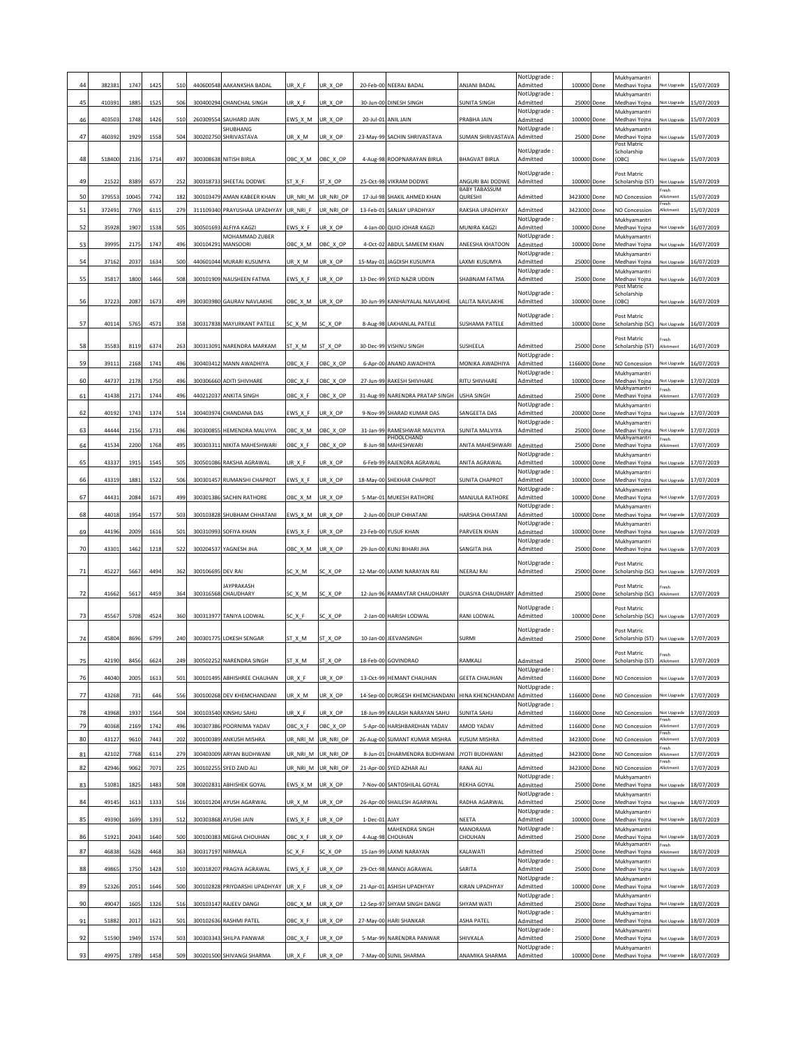|                |        |       |      |     |                   |                               |          |           |          |                                            |                                          | NotUpgrade:             |              |            | Mukhyamantri                    |                     |                        |
|----------------|--------|-------|------|-----|-------------------|-------------------------------|----------|-----------|----------|--------------------------------------------|------------------------------------------|-------------------------|--------------|------------|---------------------------------|---------------------|------------------------|
|                | 382381 | 1747  | 1425 | 510 | 440600548         | AAKANKSHA BADAL               | UR_X_F   | UR_X_OP   |          | 20-Feb-00 NEERAJ BADAL                     | ANJANI BADAL                             | Admitted<br>NotUpgrade: | 100000       | Done       | Medhavi Yojna<br>Mukhyamantri   | lot Upgrade         | 15/07/2019             |
| 45             | 410391 | 1885  | 1525 | 506 | 300400294         | CHANCHAL SINGH                | UR X F   | UR_X_OP   |          | 30-Jun-00 DINESH SINGH                     | SUNITA SINGH                             | Admitted                | 25000 Done   |            | Medhavi Yojna                   | Vot Upgrade         | 15/07/2019             |
| 46             | 403503 | 1748  | 1426 | 510 |                   | 260309554 SAUHARD JAIN        | EWS_X_M  | UR_X_OP   |          | 20-Jul-01 ANIL JAIN                        | PRABHA JAIN                              | NotUpgrade:<br>Admitted | 100000 Done  |            | Mukhyamantri<br>Medhavi Yojna   | Vot Upgrade         | 15/07/2019             |
| 4              | 460392 | 1929  | 1558 |     |                   | SHUBHANG                      |          |           |          |                                            |                                          | NotUpgrade:<br>Admitted | 25000        |            | Mukhyamantri                    |                     |                        |
|                |        |       |      | 504 | 300202750         | SHRIVASTAVA                   | UR_X_M   | UR_X_OP   |          | 23-May-99 SACHIN SHRIVASTAVA               | SUMAN SHRIVASTAVA                        |                         |              | Done       | Aedhavi Yojna<br>Post Matric    | lot Upgrade         | 15/07/2019             |
| 48             | 518400 | 2136  | 1714 | 497 |                   | 300308638 NITISH BIRLA        | OBC_X_M  | OBC_X_OP  |          | 4-Aug-98 ROOPNARAYAN BIRLA                 | <b>BHAGVAT BIRLA</b>                     | NotUpgrade:<br>Admitted | 100000 Done  |            | Scholarship<br>(OBC)            | lot Upgrade         | 15/07/2019             |
|                |        |       |      |     |                   |                               |          |           |          |                                            |                                          | NotUpgrade:             |              |            | Post Matric                     |                     |                        |
| 49             | 21522  | 8389  | 6577 | 252 |                   | 300318733 SHEETAL DODWE       | ST X F   | ST_X_OP   |          | 25-Oct-98 VIKRAM DODWE                     | ANGURI BAI DODWE<br><b>BABY TABASSUM</b> | Admitted                | 100000 Done  |            | Scholarship (ST)                | Not Upgrade<br>resh | 15/07/2019             |
| 50             | 379553 | 10045 | 7742 | 182 | 300103479         | AMAN KABEER KHAN              | UR_NRI_M | UR_NRI_OP |          | 17-Jul-98 SHAKIL AHMED KHAN                | QURESHI                                  | Admitted                | 3423000      | Done       | <b>NO Concession</b>            | llotment<br>resh    | 15/07/2019             |
| 51             | 372491 | 7769  | 6115 | 279 |                   | 311109340 PRAYUSHAA UPADHYAY  | UR NRI F | UR_NRI_OP |          | 13-Feb-01 SANJAY UPADHYAY                  | RAKSHA UPADHYAY                          | Admitted                | 3423000      | Done       | NO Concession                   | <b>Illotment</b>    | 15/07/2019             |
| 52             | 35928  | 1907  | 1538 | 505 | 300501693         | ALFIYA KAGZI                  | :WS_X_F  | UR_X_OP   |          | 4-Jan-00 QUID JOHAR KAGZI                  | MUNIRA KAGZI                             | NotUpgrade:<br>Admitted | 100000       | Done       | Mukhyamantri<br>Medhavi Yojna   | lot Upgrade         | 16/07/2019             |
| 53             | 39995  | 2175  | 1747 | 496 | 300104291         | MOHAMMAD ZUBER<br>MANSOORI    | OBC_X_M  | OBC_X_OP  |          | 4-Oct-02 ABDUL SAMEEM KHAN                 | ANEESHA KHATOON                          | NotUpgrade:<br>Admitted | 100000       | Done       | Mukhyamantri<br>Medhavi Yojna   | lot Upgrade         | 16/07/2019             |
|                |        |       |      |     |                   |                               |          |           |          |                                            |                                          | NotUpgrade:             |              |            | Mukhyamantri                    |                     |                        |
| 54             | 37162  | 2037  | 1634 | 500 |                   | 440601044 MURARI KUSUMYA      | UR_X_M   | UR_X_OP   |          | 15-May-01 JAGDISH KUSUMYA                  | AXMI KUSUMYA                             | Admitted<br>NotUpgrade: |              | 25000 Done | Medhavi Yojna<br>Mukhyamantri   | lot Upgrade         | 16/07/2019             |
| 55             | 35817  | 1800  | 1466 | 508 |                   | 300101909 NAUSHEEN FATMA      | EWS_X_F  | UR_X_OP   |          | 13-Dec-99 SYED NAZIR UDDIN                 | SHABNAM FATMA                            | Admitted                | 25000        | Done       | Medhavi Yojna                   | lot Upgrade         | 16/07/2019             |
|                |        |       |      |     |                   |                               |          |           |          |                                            |                                          | NotUpgrade:             |              |            | Post Matric<br>Scholarship      |                     |                        |
| 56             | 37223  | 2087  | 1673 | 499 |                   | 300303980 GAURAV NAVLAKHE     | OBC_X_M  | UR_X_OP   |          | 30-Jun-99 KANHAIYALAL NAVLAKHE             | LALITA NAVLAKHE                          | Admitted                | 100000 Done  |            | (OBC)                           | lot Upgrade         | 16/07/2019             |
| 57             | 40114  | 5765  | 4571 | 358 |                   | 300317838 MAYURKANT PATELE    | SC_X_M   | SC X OP   |          | 8-Aug-98 LAKHANLAL PATELE                  | SUSHAMA PATELE                           | NotUpgrade:<br>Admitted | 100000 Done  |            | Post Matric<br>Scholarship (SC) | Not Upgrade         | 16/07/2019             |
|                |        |       |      |     |                   |                               |          |           |          |                                            |                                          |                         |              |            | ost Matric                      | resh                |                        |
| 58             | 35583  | 8119  | 6374 | 263 | 300313091         | NARENDRA MARKAM               | ST_X_M   | ST_X_OP   |          | 30-Dec-99 VISHNU SINGH                     | SUSHEELA                                 | Admitted                | 25000        | Done       | Scholarship (ST)                | llotment            | 16/07/2019             |
| 59             | 39111  | 2168  | 1741 | 496 | 300403412         | MANN AWADHIYA                 | OBC_X_F  | OBC_X_OP  |          | 6-Apr-00 ANAND AWADHIYA                    | MONIKA AWADHIYA                          | NotUpgrade:<br>Admitted | 1166000      | Done       | NO Concession                   | lot Upgrade         | 16/07/2019             |
|                |        |       |      |     |                   |                               |          |           |          |                                            |                                          | NotUpgrade:             | 100000 Done  |            | Mukhyamantri                    |                     |                        |
| 60             | 44737  | 2178  | 1750 | 496 |                   | 300306660 ADITI SHIVHARE      | OBC_X_F  | OBC_X_OP  |          | 27-Jun-99 RAKESH SHIVHARE                  | RITU SHIVHARE                            | Admitted                |              |            | Medhavi Yojna<br>Mukhyamantri   | lot Upgrade<br>resh | 17/07/2019             |
| 61             | 41438  | 2171  | 1744 | 496 |                   | 440212037 ANKITA SINGH        | OBC_X_F  | OBC_X_OP  |          | 31-Aug-99 NARENDRA PRATAP SINGH USHA SINGH |                                          | Admitted<br>NotUpgrade: | 25000 Done   |            | Medhavi Yojna<br>Mukhyamantri   | Allotment           | 17/07/2019             |
| 62             | 40192  | 1743  | 1374 | 514 | 300403974         | CHANDANA DAS                  | EWS_X_F  | UR_X_OP   |          | 9-Nov-99 SHARAD KUMAR DAS                  | <b>SANGEETA DAS</b>                      | Admitted                | 200000       | Done       | Medhavi Yoina                   | <b>Vot Upgrade</b>  | 17/07/2019             |
| 63             | 44444  | 2156  | 1731 | 496 | 300300855         | HEMENDRA MALVIYA              | OBC X M  | OBC_X_OP  |          | 31-Jan-99 RAMESHWAR MALVIYA                | SUNITA MALVIYA                           | NotUpgrade:<br>Admitted | 25000        | Done       | Mukhyamantri<br>Medhavi Yojna   | lot Upgrade         | 17/07/2019             |
| 64             | 41534  | 2200  | 1768 | 495 | 300303311         | NIKITA MAHESHWARI             | OBC_X_F  | OBC_X_OP  | 8-Jun-98 | PHOOLCHAND<br>MAHESHWARI                   | ANITA MAHESHWARI                         | Admitted                | 25000        | Done       | Mukhyamantri<br>Medhavi Yojna   | resh<br>llotment    | 17/07/2019             |
|                |        |       |      |     |                   |                               |          |           |          |                                            |                                          | NotUpgrade:             |              |            | Mukhyamantri                    |                     |                        |
| 65             | 43337  | 1915  | 1545 | 505 | 300501086         | RAKSHA AGRAWAL                | UR X F   | JR_X_OP   |          | 6-Feb-99 RAJENDRA AGRAWAL                  | ANITA AGRAWAL                            | Admitted<br>NotUpgrade: | 100000       | Done       | Medhavi Yojna<br>Mukhyamantri   | lot Upgrade         | 17/07/2019             |
| 66             | 43319  | 1881  | 1522 | 506 |                   | 300301457 RUMANSHI CHAPROT    | EWS_X_F  | UR X OP   |          | 18-May-00 SHEKHAR CHAPROT                  | <b>SUNITA CHAPROT</b>                    | Admitted                | 100000 Done  |            | Medhavi Yoina                   |                     | lot Upgrade 17/07/2019 |
| 67             | 4443   | 2084  | 1671 | 499 |                   | 300301386 SACHIN RATHORE      | OBC_X_M  | UR_X_OP   |          | 5-Mar-01 MUKESH RATHORE                    | MANJULA RATHORE                          | NotUpgrade:<br>Admitted | 100000 Done  |            | Mukhyamantri<br>Medhavi Yojna   | lot Upgrade         | 17/07/2019             |
| 68             | 44018  | 1954  | 1577 | 503 |                   | 300103828 SHUBHAM CHHATANI    | EWS_X_M  | UR_X_OP   |          | 2-Jun-00 DILIP CHHATANI                    | HARSHA CHHATANI                          | NotUpgrade:<br>Admitted | 100000 Done  |            | Mukhyamantri<br>Medhavi Yojna   | Vot Upgrade         | 17/07/2019             |
|                |        |       |      |     |                   |                               |          |           |          |                                            |                                          | NotUpgrade:             |              |            | Mukhyamantri                    |                     |                        |
| 69             | 44196  | 2009  | 1616 | 501 |                   | 300310993 SOFIYA KHAN         | EWS_X_F  | UR_X_OP   |          | 23-Feb-00 YUSUF KHAN                       | PARVEEN KHAN                             | Admitted<br>NotUpgrade: | 100000       | Done       | Medhavi Yoina<br>Mukhyamantri   | lot Upgrade         | 17/07/2019             |
| 70             | 43301  | 1462  | 1218 | 522 | 300204537         | YAGNESH JHA                   | OBC_X_M  | UR_X_OP   |          | 29-Jun-00 KUNJ BIHARI JHA                  | SANGITA JHA                              | Admitted                | 25000        | Done       | Medhavi Yojna                   | lot Upgrade         | 17/07/2019             |
|                |        |       |      |     |                   |                               |          |           |          |                                            |                                          | NotUpgrade:             |              |            | Post Matric                     |                     |                        |
| 71             | 45227  | 5667  | 4494 | 362 | 300106695 DEV RAI |                               | SC_X_M   | SC X OP   |          | 12-Mar-00 LAXMI NARAYAN RAI                | NEERAJ RAI                               | Admitted                | 25000 Done   |            | Scholarship (SC)                | Not Upgrade         | 17/07/2019             |
| 72             | 41662  | 5617  | 4459 | 364 | 300316568         | JAYPRAKASH<br>CHAUDHARY       | SC_X_M   | SC_X_OP   |          | 12-Jun-96 RAMAVTAR CHAUDHARY               | DUASIYA CHAUDHARY Admitted               |                         | 25000 Done   |            | Post Matric<br>Scholarship (SC) | resh<br>Allotment   | 17/07/2019             |
|                |        |       |      |     |                   |                               |          |           |          |                                            |                                          | NotUpgrade:             |              |            | ost Matric                      |                     |                        |
|                | 4556   | 5708  | 4524 | 360 |                   | 300313977 TANIYA LODWAL       | SC X F   | SC X OP   |          | 2-Jan-00 HARISH LODWAL                     | RANI LODWAI                              | Admitted                | 100000 Done  |            | cholarship (SC)                 | Not Upgrade         | 17/07/2019             |
|                |        |       |      |     |                   |                               |          |           |          |                                            |                                          | NotUpgrade:             |              |            | Post Matric                     |                     |                        |
| 74             | 45804  | 8696  | 6799 | 240 |                   | 300301775 LOKESH SENGAR       | ST_X_M   | ST_X_OP   |          | 10-Jan-00 JEEVANSINGH                      | SURMI                                    | Admitted                | 25000 Done   |            | Scholarship (ST)                | Not Upgrade         | 17/07/2019             |
| 75             | 42190  | 8456  | 6624 | 249 |                   | 300502252 NARENDRA SINGH      | ST_X_M   | ST_X_OP   |          | 18-Feb-00 GOVINDRAO                        | RAMKALI                                  | Admitted                |              | 25000 Done | Post Matric<br>Scholarship (ST) | Fresh<br>Allotment  | 17/07/2019             |
| 76             | 44040  | 2005  | 1613 | 501 |                   | 300101495 ABHISHREE CHAUHAN   | UR_X_F   | UR_X_OP   |          | 13-Oct-99 HEMANT CHAUHAN                   | <b>GEETA CHAUHAN</b>                     | NotUpgrade:<br>Admitted | 1166000 Done |            | NO Concession                   | lot Upgrade         | 17/07/2019             |
|                |        |       |      |     |                   |                               |          |           |          |                                            |                                          | NotUpgrade:             |              |            |                                 |                     |                        |
| 7 <sup>1</sup> | 43268  | 731   | 646  | 556 |                   | 300100268 DEV KHEMCHANDANI    | UR X M   | UR_X_OP   |          | 14-Sep-00 DURGESH KHEMCHANDANI             | HINA KHENCHANDAN                         | Admitted<br>NotUpgrade: | 1166000 Done |            | NO Concession                   | lot Upgrade         | 17/07/2019             |
| 78             | 43968  | 1937  | 1564 | 504 |                   | 300103540 KINSHU SAHU         | UR_X_F   | UR_X_OP   |          | 18-Jun-99 KAILASH NARAYAN SAHU             | SUNITA SAHU                              | Admitted                | 1166000      | Done       | NO Concession                   | resh                | lot Upgrade 17/07/2019 |
| 79             | 40368  | 2169  | 1742 | 496 |                   | 300307386 POORNIMA YADAV      | OBC X F  | OBC_X_OP  |          | 5-Apr-00 HARSHBARDHAN YADAV                | AMOD YADAV                               | Admitted                | 1166000      | Done       | NO Concession                   | llotment<br>resh    | 17/07/2019             |
| 80             | 4312   | 9610  | 7443 | 202 | 300100389         | ANKUSH MISHRA                 | UR_NRI_M | UR_NRI_OP |          | 26-Aug-00 SUMANT KUMAR MISHRA              | <b>KUSUM MISHRA</b>                      | Admitted                | 3423000      | Done       | NO Concession                   | llotment            | 17/07/2019             |
| 81             | 42102  | 7768  | 611  | 279 | 300403009         | ARYAN BUDHWANI                | UR_NRI_M | UR_NRI_OP |          | 8-Jun-01 DHARMENDRA BUDHWANI               | <b>YOTI BUDHWANI</b>                     | Admitted                | 3423000      | Done       | <b>NO Concession</b>            | resh<br>llotmer     | 17/07/2019             |
| 82             | 42946  | 9062  | 7071 | 225 | 300102255         | SYED ZAID ALI                 | JR_NRI_M | UR_NRI_OP |          | 21-Apr-00 SYED AZHAR ALI                   | RANA ALI                                 | Admitted                | 3423000      | Done       | NO Concession                   | resh<br>llotment    | 17/07/2019             |
| 83             | 51081  | 1825  | 1483 | 508 |                   | 300202831 ABHISHEK GOYAL      | EWS_X_M  | UR_X_OP   |          | 7-Nov-00 SANTOSHILAL GOYAL                 | REKHA GOYAL                              | NotUpgrade:<br>Admitted |              | 25000 Done | Mukhyamantri<br>Medhavi Yojna   | lot Upgrade         | 18/07/2019             |
|                |        |       |      |     |                   |                               |          |           |          |                                            |                                          | NotUpgrade:             |              |            | Mukhyamantri                    |                     |                        |
| 84             | 49145  | 1613  | 1333 | 516 | 300101204         | AYUSH AGARWAL                 | UR_X_M   | UR_X_OP   |          | 26-Apr-00 SHAILESH AGARWAL                 | RADHA AGARWAL                            | Admitted<br>NotUpgrade: | 25000        | Done       | Medhavi Yojna<br>Mukhyamantri   | lot Upgrade         | 18/07/2019             |
| 85             | 49390  | 1699  | 1393 | 512 |                   | 300303868 AYUSHI JAIN         | EWS_X_F  | UR_X_OP   | 1-Dec-01 | AJAY                                       | NEETA<br>MANORAMA                        | Admitted                | 100000       | Done       | Medhavi Yojna                   | lot Upgrade         | 18/07/2019             |
| 86             | 51921  | 2043  | 1640 | 500 |                   | 300100383 MEGHA CHOUHAN       | OBC_X_F  | UR_X_OP   |          | MAHENDRA SINGH<br>4-Aug-98 CHOUHAN         | CHOUHAN                                  | NotUpgrade:<br>Admitted | 25000        | Done       | Mukhyamantri<br>Medhavi Yojna   | lot Upgrade         | 18/07/2019             |
| 87             | 46838  | 5628  | 4468 | 363 | 300317197         | NIRMALA                       | SC_X_F   | SC_X_OP   |          | 15-Jan-99 LAXMI NARAYAN                    | KALAWATI                                 | Admitted                | 25000        | Done       | Mukhyamantri<br>Medhavi Yojna   | Fresh<br>Allotment  | 18/07/2019             |
|                |        |       |      |     |                   |                               |          |           |          |                                            |                                          | NotUpgrade:             | 25000        |            | Mukhyamantri                    |                     |                        |
| 88             | 49865  | 1750  | 1428 | 510 |                   | 300318207 PRAGYA AGRAWAL      | EWS_X_F  | UR_X_OP   |          | 29-Oct-98 MANOJ AGRAWAL                    | SARITA                                   | Admitted<br>NotUpgrade: |              | Done       | Medhavi Yojna<br>Mukhyamantri   | lot Upgrade         | 18/07/2019             |
| 89             | 52326  | 2051  | 1646 | 500 |                   | 300102828 PRIYDARSHI UPADHYAY | UR X F   | UR_X_OP   |          | 21-Apr-01 ASHISH UPADHYAY                  | KIRAN UPADHYAY                           | Admitted<br>NotUpgrade: | 100000       | Done       | Medhavi Yojna<br>Mukhyamantri   | lot Upgrade         | 18/07/2019             |
| 90             | 49047  | 1605  | 1326 | 516 |                   | 300103147 RAJEEV DANGI        | OBC_X_M  | UR_X_OP   |          | 12-Sep-97 SHYAM SINGH DANGI                | SHYAM WATI                               | Admitted                |              | 25000 Done | Medhavi Yojna                   | lot Upgrade         | 18/07/2019             |
| 91             | 51882  | 2017  | 162  | 501 |                   | 300102636 RASHMI PATEL        | OBC_X_F  | UR_X_OP   |          | 27-May-00 HARI SHANKAR                     | ASHA PATEL                               | NotUpgrade:<br>Admitted | 25000        | Done       | Mukhyamantri<br>Medhavi Yojna   | lot Upgrade         | 18/07/2019             |
|                |        |       |      |     |                   |                               |          |           |          |                                            |                                          | NotUpgrade:             |              |            | Mukhyamantri                    |                     |                        |
| 92             | 51590  | 1949  | 1574 | 503 | 300303343         | SHILPA PANWAR                 | OBC_X_F  | UR_X_OP   |          | 5-Mar-99 NARENDRA PANWAR                   | SHIVKALA                                 | Admitted<br>NotUpgrade: | 25000        | Done       | Medhavi Yojna<br>Mukhyamantri   | lot Upgrade         | 18/07/2019             |
| 93             | 49975  | 1789  | 1458 | 509 |                   | 300201500 SHIVANGI SHARMA     | UR_X_F   | UR_X_OP   |          | 7-May-00 SUNIL SHARMA                      | ANAMIKA SHARMA                           | Admitted                | 100000 Done  |            | Medhavi Yojna                   | lot Upgrade         | 18/07/2019             |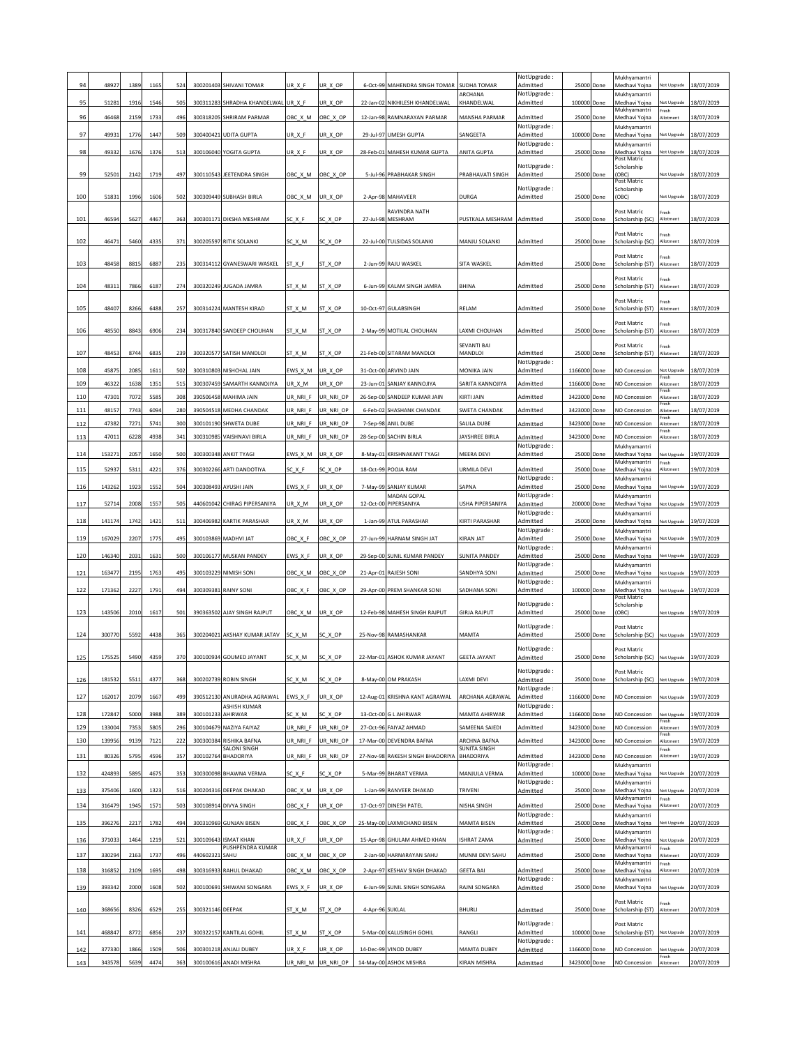|            | 48927            | 1389         | 116          | 524        | 300201403              | SHIVANI TOMAR                                 | UR X F               | UR_X_OP                |                 | 6-Oct-99 MAHENDRA SINGH TOMAR                           | SUDHA TOMAR                           | NotUpgrade:<br>Admitted | 25000               | Done         | Mukhyamantri<br>Medhavi Yojna                  | lot Upgrade                                | 18/07/2019               |
|------------|------------------|--------------|--------------|------------|------------------------|-----------------------------------------------|----------------------|------------------------|-----------------|---------------------------------------------------------|---------------------------------------|-------------------------|---------------------|--------------|------------------------------------------------|--------------------------------------------|--------------------------|
| 95         | 51281            | 1916         | 1546         | 505        | 300311283              | SHRADHA KHANDELWAL                            | UR_X_F               | UR_X_OP                |                 | 22-Jan-02 NIKHILESH KHANDELWAL                          | ARCHANA<br>KHANDELWAL                 | NotUpgrade:<br>Admitted | 100000 Done         |              | Mukhyamantri<br>Medhavi Yojna                  | lot Upgrade                                | 18/07/2019               |
| 96         | 46468            | 2159         | 1733         | 496        | 300318205              | SHRIRAM PARMAR                                | OBC X M              | OBC X OP               |                 | 12-Jan-98 RAMNARAYAN PARMAR                             | <b>MANSHA PARMAR</b>                  | Admitted                | 25000               | Done         | Mukhvamantri<br>Aedhavi Yojna                  | resh<br><b>Illotment</b>                   | 18/07/2019               |
| 97         | 49931            | 1776         | 1447         | 509        | 300400421              | <b>UDITA GUPTA</b>                            | UR X F               | UR_X_OP                |                 | 29-Jul-97 UMESH GUPTA                                   | SANGEETA                              | NotUpgrade:<br>Admitted | 100000 Done         |              | Mukhyamantri<br>Medhavi Yojna                  | Not Upgrade                                | 18/07/2019               |
| 98         | 49332            | 1676         | 1376         | 513        | 300106040              | YOGITA GUPTA                                  | UR X F               | UR_X_OP                |                 | 28-Feb-01 MAHESH KUMAR GUPTA                            | ANITA GUPTA                           | NotUpgrade:<br>Admitted | 25000               | Done         | Mukhyamantri<br>Medhavi Yojna                  | lot Upgrade                                | 18/07/2019               |
|            |                  |              |              |            |                        |                                               |                      |                        |                 |                                                         |                                       | NotUpgrade:             |                     |              | Post Matric<br>Scholarship                     |                                            |                          |
| 99         | 52501            | 2142         | 1719         | 497        | 300110543              | JEETENDRA SINGH                               | OBC X M              | OBC X OP               |                 | 5-Jul-96 PRABHAKAR SINGH                                | PRABHAVATI SINGH                      | Admitted                | 25000 Done          |              | (OBC)<br>Post Matric                           | Vot Upgrade                                | 18/07/2019               |
| 100        | 51831            | 1996         | 1606         | 502        | 300309449              | <b>SUBHASH BIRLA</b>                          | OBC X M              | UR X OP                |                 | 2-Apr-98 MAHAVEER                                       | DURGA                                 | NotUpgrade:<br>Admitted | 25000 Done          |              | Scholarship<br>OBC)                            | Vot Upgrade                                | 18/07/2019               |
| 101        | 46594            | 5627         | 446          | 363        | 300301171              | DIKSHA MESHRAM                                | SC X F               | SC_X_OP                | 27-Jul-98       | RAVINDRA NATH<br>MESHRAM                                | PUSTKALA MESHRAM                      | Admitted                | 25000               | Done         | Post Matric<br>Scholarship (SC)                | resh<br>Allotment                          | 18/07/2019               |
|            |                  |              |              |            |                        |                                               |                      |                        |                 |                                                         |                                       |                         |                     |              | Post Matric                                    | Fresh                                      |                          |
| 102        | 46471            | 5460         | 4335         | 371        | 300205597              | RITIK SOLANKI                                 | SC_X_M               | SC_X_OP                |                 | 22-Jul-00 TULSIDAS SOLANKI                              | MANJU SOLANKI                         | Admitted                | 25000 Done          |              | Scholarship (SC)                               | Allotment                                  | 18/07/2019               |
| 103        | 4845             | 8815         | 688          | 235        | 300314112              | GYANESWARI WASKEL                             | ST_X_F               | ST_X_OP                |                 | 2-Jun-99 RAJU WASKEL                                    | SITA WASKEL                           | Admitted                | 25000               | Done         | Post Matric<br>Scholarship (ST)                | resh<br>llotmen                            | 18/07/2019               |
| 104        | 48311            | 7866         | 618          | 274        | 300320249              | <b>JUGADA JAMRA</b>                           | ST_X_M               | ST X OP                |                 | 6-Jun-99 KALAM SINGH JAMRA                              | BHINA                                 | Admitted                | 25000 Done          |              | Post Matric<br>Scholarship (ST)                | resh<br><b>Nlotment</b>                    | 18/07/2019               |
|            |                  |              |              |            |                        |                                               |                      |                        |                 |                                                         |                                       |                         |                     |              | Post Matric                                    | Fresh                                      |                          |
| 105        | 48407            | 8266         | 6488         | 257        | 300314224              | MANTESH KIRAD                                 | ST_X_M               | ST_X_OP                |                 | 10-Oct-97 GULABSINGH                                    | RELAM                                 | Admitted                | 25000               | Done         | Scholarship (ST)                               | Allotment                                  | 18/07/2019               |
| 106        | 48550            | 8843         | 690          | 234        | 300317840              | SANDEEP CHOUHAN                               | ST_X_M               | ST_X_OP                |                 | 2-May-99 MOTILAL CHOUHAN                                | AXMI CHOUHAN                          | Admitted                | 25000               | Done         | ost Matric<br>Scholarship (ST)                 | resh<br>Allotment                          | 18/07/2019               |
| 107        | 48453            | 8744         | 6835         | 239        | 300320577              | SATISH MANDLOI                                | ST X M               | ST X OP                |                 | 21-Feb-00 SITARAM MANDLOI                               | <b>SFVANTI BAI</b><br>MANDLOI         | Admitted                | 25000 Done          |              | Post Matric<br>Scholarship (ST)                | resh<br>Allotment                          | 18/07/2019               |
|            |                  |              |              |            |                        | NISHCHAL JAIN                                 |                      |                        |                 |                                                         |                                       | NotUpgrade:             |                     |              | <b>NO Concession</b>                           |                                            |                          |
| 108<br>109 | 45875<br>46322   | 2085<br>1638 | 161<br>1351  | 502<br>515 | 300310803<br>300307459 | SAMARTH KANNOJIYA                             | EWS_X_M<br>UR_X_M    | UR_X_OP<br>UR_X_OP     |                 | 31-Oct-00 ARVIND JAIN<br>23-Jun-01 SANJAY KANNOJIYA     | MONIKA JAIN<br>SARITA KANNOJIYA       | Admitted<br>Admitted    | 1166000<br>1166000  | Done<br>Done | NO Concession                                  | lot Upgrade<br>resh<br><b>Motment</b>      | 18/07/2019<br>18/07/2019 |
| 110        | 47301            | 7072         | 5585         | 308        | 390506458              | MAHIMA JAIN                                   | UR_NRI_F             | UR_NRI_OP              |                 | 26-Sep-00 SANDEEP KUMAR JAIN                            | KIRTI JAIN                            | Admitted                | 3423000             | Done         | <b>NO Concession</b>                           | resh<br>Allotment                          | 18/07/2019               |
| 11.        | 48157            | 7743         | 609          | 280        | 390504518              | MEDHA CHANDAK                                 | UR_NRI_F             | UR_NRI_OP              | 6-Feb-02        | SHASHANK CHANDAK                                        | <b>SWETA CHANDAK</b>                  | Admitted                | 3423000             | Done         | <b>NO Concession</b>                           | resh<br>llotmen<br>resh                    | 18/07/2019               |
| 112        | 47382            | 7271         | 5741         | 300        | 300101190              | SHWETA DUBE                                   | UR_NRI_F             | UR_NRI_OP              |                 | 7-Sep-98 ANIL DUBE                                      | SALILA DUBE                           | Admitted                | 3423000             | Done         | NO Concession                                  | <b>Nlotment</b><br>resh                    | 18/07/2019               |
| 11.        | 4701             | 6228         | 493          | 341        | 30031098               | VAISHNAVI BIRLA                               | UR_NRI_F             | UR_NRI_OP              | 28-Sep-00       | SACHIN BIRLA                                            | AYSHREE BIRLA                         | Admitted<br>NotUpgrade: | 3423000             | Done         | NO Concession<br>Mukhyamantri                  | Allotment                                  | 18/07/2019               |
| 114        | 153271           | 2057         | 1650         | 500        | 300300348              | <b>ANKIT TYAGI</b>                            | EWS X M              | UR X OP                |                 | 8-May-01 KRISHNAKANT TYAGI                              | MEERA DEVI                            | Admitted                | 25000               | Done         | Medhavi Yoina<br>Mukhyamantri                  | <b>Vot Upgrade</b><br>resh                 | 19/07/2019               |
| 11         | 52937            | 5311         | 422          | 376        | 300302266              | ARTI DANDOTIYA                                | SC_X_F               | SC_X_OP                |                 | 18-Oct-99 POOJA RAM                                     | URMILA DEVI                           | Admitted<br>NotUpgrade: | 25000               | Done         | Medhavi Yojna<br>Mukhyamantri                  | <b>Motment</b>                             | 19/07/2019               |
| 116        | 143262           | 1923         | 1552         | 504        | 300308493              | AYUSHI JAIN                                   | EWS_X_F              | UR_X_OP                |                 | 7-May-99 SANJAY KUMAR<br><b>MADAN GOPAL</b>             | SAPNA                                 | Admitted<br>NotUpgrade: | 25000               | Done         | Medhavi Yojna<br>Mukhyamantri                  | Vot Upgrade                                | 19/07/2019               |
| 117        | 52714            | 2008         | 1557         | 505        | 440601042              | CHIRAG PIPERSANIYA                            | UR_X_M               | UR_X_OP                |                 | 12-Oct-00 PIPERSANIYA                                   | USHA PIPERSANIYA                      | Admitted                | 200000 Done         |              | Medhavi Yojna                                  | Vot Upgrade                                | 19/07/2019               |
| 118        | 141174           | 1742         | 142          | 511        | 300406982              | KARTIK PARASHAR                               | UR_X_M               | UR_X_OP                | 1-Jan-99        | ATUL PARASHAR                                           | KIRTI PARASHAR                        | NotUpgrade:<br>Admitted | 25000               | Done         | Mukhyamantri<br>Medhavi Yojna                  | lot Upgrade                                | 19/07/2019               |
| 119        | 167029           | 2207         | 1775         | 495        | 300103869              | MADHVI JAT                                    | OBC_X_F              | OBC_X_OP               |                 | 27-Jun-99 HARNAM SINGH JAT                              | KIRAN JAT                             | NotUpgrade:<br>Admitted | 25000 Done          |              | Mukhyamantri<br>Medhavi Yojna                  | Vot Upgrade                                | 19/07/2019               |
| 120        | 146340           | 2031         | 163          | 500        | 300106177              | MUSKAN PANDEY                                 | EWS X F              | JR X OP                | 29-Sep-00       | SUNIL KUMAR PANDEY                                      | <b>JUNITA PANDEY</b>                  | NotUpgrade:<br>Admitted | 25000               | Done         | Mukhyamantri<br>Medhavi Yojna                  | lot Upgrade                                | 9/07/2019                |
| 121        | 16347            | 2195         | 176          | 495        | 300103229              | NIMISH SONI                                   | OBC_X_M              | OBC_X_OP               |                 | 21-Apr-01 RAJESH SONI                                   | SANDHYA SONI                          | NotUpgrade:<br>Admitted | 25000               | Done         | Mukhyamantri<br>Medhavi Yojna                  | lot Upgrade                                | 19/07/2019               |
| 122        | 171362           | 2227         | 1791         | 494        |                        | 300309381 RAINY SONI                          | OBC_X_F              | OBC_X_OP               |                 | 29-Apr-00 PREM SHANKAR SONI                             | SADHANA SONI                          | NotUpgrade:<br>Admitted | 100000 Done         |              | Mukhyamantri<br>Medhavi Yojna                  | Not Upgrade                                | 19/07/2019               |
|            |                  |              |              |            |                        |                                               |                      |                        |                 |                                                         |                                       | NotUpgrade:             |                     |              | Post Matric<br>Scholarship                     |                                            |                          |
| 123        | 143506           | 2010         | 161          | 501        | 390363502              | AJAY SINGH RAJPUT                             | OBC_X_M              | UR_X_OP                |                 | 12-Feb-98 MAHESH SINGH RAJPUT                           | <b>GIRJA RAJPUT</b>                   | Admitted<br>NotUpgrade: | 25000 Done          |              | (OBC)<br>Post Matric                           | lot Upgrade                                | 19/07/2019               |
| 124        | 300770           | 5592         | 443          | 365        | 300204021              | AKSHAY KUMAR JATAV                            | SC_X_M               | SC_X_OP                |                 | 25-Nov-98 RAMASHANKAR                                   | MAMTA                                 | Admitted                | 25000 Done          |              | Scholarship (SC)                               | Vot Upgrade                                | 19/07/2019               |
| 125        | 175525           | 5490         | 4359         | 370        |                        | 300100934 GOUMED JAYANT                       | SC_X_M               | SC_X_OP                |                 | 22-Mar-01 ASHOK KUMAR JAYANT                            | <b>GEETA JAYANT</b>                   | NotUpgrade:<br>Admitted | 25000 Done          |              | Post Matric<br>Scholarship (SC)                | Not Upgrade                                | 19/07/2019               |
|            |                  |              |              |            |                        |                                               |                      |                        |                 |                                                         |                                       | NotUpgrade:             |                     |              | Post Matric                                    |                                            |                          |
| 126        | 181532           | 5511         | 437          | 368        |                        | 300202739 ROBIN SINGH                         | SC_X_M               | SC_X_OP                |                 | 8-May-00 OM PRAKASH                                     | AXMI DEVI                             | Admitted<br>NotUpgrade: | 25000 Done          |              | Scholarship (SC)                               | Not Upgrade                                | 19/07/2019               |
| 127        | 162017           | 2079         | 1667         | 499        |                        | 390512130 ANURADHA AGRAWAL<br>ASHISH KUMAR    | EWS_X_F              | UR_X_OP                |                 | 12-Aug-01 KRISHNA KANT AGRAWAL                          | ARCHANA AGRAWAL                       | Admitted<br>NotUpgrade: | 1166000 Done        |              | NO Concession                                  | lot Upgrade                                | 19/07/2019               |
| 128        | 172847           | 5000         | 3988         | 389        | 300101233              | AHIRWAR                                       | $SC_X_M$             | SC_X_OP                |                 | 13-Oct-00 G L AHIRWAR                                   | MAMTA AHIRWAR                         | Admitted                | 1166000             | Done         | <b>NO Concession</b>                           | Vot Upgrade<br>resh                        | 19/07/2019               |
| 129<br>130 | 133004<br>139956 | 7353<br>9139 | 5805<br>7121 | 296<br>222 | 300104679<br>300300384 | NAZIYA FAIYAZ<br>RISHIKA BAFNA                | UR NRI F<br>UR_NRI_F | UR_NRI_OP<br>UR_NRI_OP |                 | 27-Oct-96 FAIYAZ AHMAD<br>17-Mar-00 DEVENDRA BAFNA      | SAMEENA SAIEDI<br>ARCHNA BAFNA        | Admitted<br>Admitted    | 3423000<br>3423000  | Done<br>Done | NO Concession<br>NO Concession                 | llotment<br>resh<br>Allotment              | 19/07/2019<br>19/07/2019 |
| 131        | 80326            | 5795         | 4596         | 357        | 300102764              | <b>SALONI SINGH</b><br>BHADORIYA              | UR_NRI_F             | UR NRI OP              |                 | 27-Nov-98 RAKESH SINGH BHADORIYA                        | SUNITA SINGH<br>BHADORIYA             | Admitted                | 3423000             | Done         | NO Concession                                  | Fresh<br>Allotment                         | 19/07/2019               |
| 132        | 424893           | 5895         | 4675         | 353        |                        | 300300098 BHAWNA VERMA                        | SC X F               | SC_X_OP                |                 | 5-Mar-99 BHARAT VERMA                                   | MANJULA VERMA                         | NotUpgrade:<br>Admitted | 100000 Done         |              | Mukhyamantri<br>Medhavi Yojna                  | Not Upgrade                                | 20/07/2019               |
|            | 375406           | 1600         |              |            |                        |                                               |                      |                        |                 |                                                         | TRIVENI                               | NotUpgrade:<br>Admitted |                     |              | Mukhyamantri<br>Medhavi Yojna                  |                                            | 20/07/2019               |
| 133<br>134 | 316479           | 1945         | 132<br>1571  | 516<br>503 | 300204316<br>300108914 | DEEPAK DHAKAD<br>DIVYA SINGH                  | OBC_X_M<br>OBC_X_F   | UR_X_OP<br>UR_X_OP     |                 | 1-Jan-99 RANVEER DHAKAD<br>17-Oct-97 DINESH PATEL       | NISHA SINGH                           | Admitted                | 25000<br>25000      | Done<br>Done | Mukhyamantri<br>Medhavi Yojna                  | lot Upgrade<br>resh<br><b>Nlotment</b>     | 20/07/2019               |
| 135        | 396276           | 2217         | 1782         | 494        | 300310969              | <b>GUNJAN BISEN</b>                           | OBC_X_F              | OBC_X_OP               |                 | 25-May-00 LAXMICHAND BISEN                              | MAMTA BISEN                           | NotUpgrade:<br>Admitted | 25000               |              | Mukhyamantri<br>Medhavi Yojna                  | Vot Upgrade                                | 20/07/2019               |
|            |                  |              |              |            |                        |                                               |                      |                        |                 |                                                         |                                       | NotUpgrade:             |                     | Done         | Mukhyamantri                                   |                                            |                          |
| 136        | 371033<br>330294 | 1464         | 1219         | 521        | 300109643<br>440602321 | <b>ISMAT KHAN</b><br>PUSHPENDRA KUMAR<br>SAHU | UR_X_F               | UR_X_OP                |                 | 15-Apr-98 GHULAM AHMED KHAN<br>2-Jan-90 HARNARAYAN SAHU | <b>ISHRAT ZAMA</b><br>MUNNI DEVI SAHU | Admitted                | 25000 Done<br>25000 |              | Medhavi Yojna<br>Mukhyamantri<br>Medhavi Yojna | lot Upgrade<br>Fresh                       | 20/07/2019<br>20/07/2019 |
| 137<br>138 | 316852           | 2163<br>2109 | 1737<br>1695 | 496<br>498 | 300316933              | RAHUL DHAKAD                                  | OBC_X_M<br>OBC_X_M   | OBC_X_OP<br>OBC_X_OP   |                 | 2-Apr-97 KESHAV SINGH DHAKAD                            | <b>GEETA BAI</b>                      | Admitted<br>Admitted    | 25000               | Done<br>Done | Mukhyamantri<br>Medhavi Yojna                  | <b>Motment</b><br>resh<br><b>Illotment</b> | 20/07/2019               |
|            | 393342           | 2000         | 1608         | 502        | 300100691              | SHIWANI SONGARA                               | EWS_X_F              | UR_X_OP                |                 | 6-Jun-99 SUNIL SINGH SONGARA                            | RAJNI SONGARA                         | NotUpgrade:             | 25000 Done          |              | Mukhyamantri<br>Medhavi Yojna                  | Vot Upgrade                                | 20/07/2019               |
| 139        |                  |              |              |            |                        |                                               |                      |                        |                 |                                                         |                                       | Admitted                |                     |              | Post Matric                                    | resh                                       |                          |
| 140        | 368656           | 8326         | 6529         | 255        | 300321146 DEEPAK       |                                               | ST_X_M               | ST X OP                | 4-Apr-96 SUKLAL |                                                         | <b>BHURLI</b>                         | Admitted                | 25000               | Done         | Scholarship (ST)                               | <b>Motment</b>                             | 20/07/2019               |
| 141        | 468847           | 8772         | 6856         | 237        | 300322157              | KANTILAL GOHIL                                | ST_X_M               | ST_X_OP                |                 | 5-Mar-00 KALUSINGH GOHIL                                | RANGLI                                | NotUpgrade:<br>Admitted | 100000              | Done         | Post Matric<br>Scholarship (ST)                | Not Upgrade                                | 20/07/2019               |
| 142        | 377330           | 1866         | 1509         | 506        | 300301218              | ANJALI DUBEY                                  | UR X F               | UR_X_OP                |                 | 14-Dec-99 VINOD DUBEY                                   | <b>MAMTA DUBEY</b>                    | NotUpgrade:<br>Admitted | 1166000             | Done         | <b>NO Concession</b>                           | lot Upgrade                                | 20/07/2019               |
| 143        | 343578           | 5639         | 4474         | 363        |                        | 300100616 ANADI MISHRA                        |                      | UR_NRI_M UR_NRI_OP     |                 | 14-May-00 ASHOK MISHRA                                  | KIRAN MISHRA                          | Admitted                | 3423000 Done        |              | NO Concession                                  | resh<br>Allotment                          | 20/07/2019               |